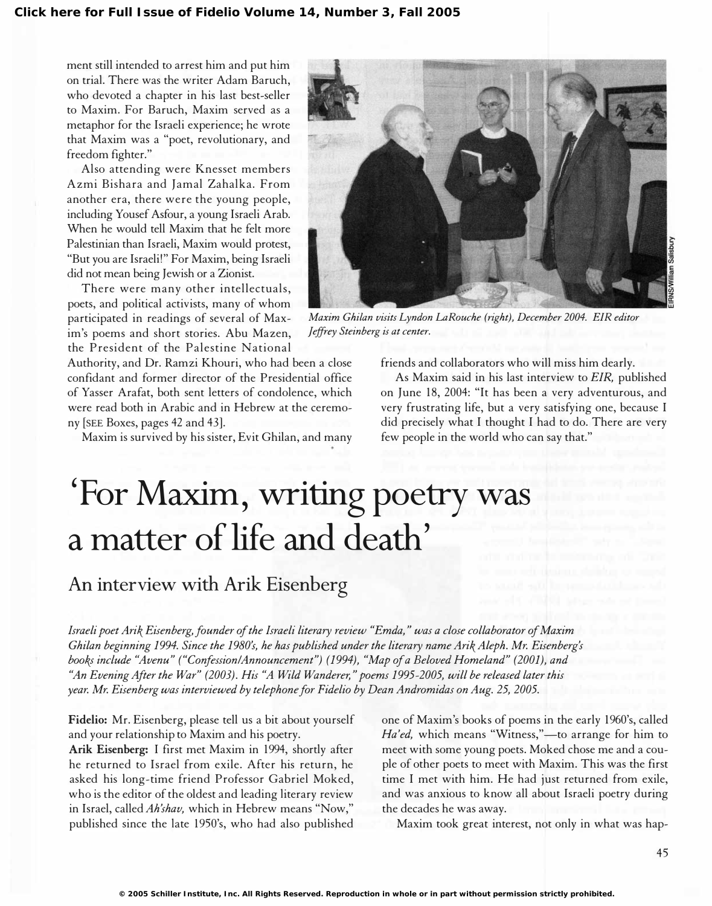ment still intended to arrest him and put him on trial. There was the writer Adam Baruch, who devoted a chapter in his last best-seller to Maxim. For Baruch, Maxim served as a metaphor for the Israeli experience; he wrote that Maxim was a "poet, revolutionary, and freedom fighter."

Also attending were Knesset members Azmi Bishara and Jamal Zahalka. From another era, there were the young people, including Yousef Asfour, a young Israeli Arab. When he would tell Maxim that he felt more Palestinian than Israeli, Maxim would protest, "But you are Israeli!" For Maxim, being Israeli did not mean being Jewish or a Zionist.

There were many other intellectuals, poets, and political activists, many of whom participated in readings of several of Maxim's poems and short stories. Abu Mazen, the President of the Palestine National

Authority, and Dr. Ramzi Khouri, who had been a close confidant and former director of the Presidential office of Yasser Arafat, both sent letters of condolence, which were read both in Arabic and in Hebrew at the ceremony [SEE Boxes, pages 42 and 43].

Maxim is survived by his sister, Evit Ghilan, and many



Maxim Chilan visits Lyndon LaRouche (right), December 2004. EIR editor Jeffrey Steinberg is at center.

friends and collaborators who will miss him dearly.

As Maxim said in his last interview to EIR, published on June 18, 2004: "It has been a very adventurous, and very frustrating life, but a very satisfying one, because I did precisely what I thought I had to do. There are very few people in the world who can say that."

# 'For Maxim, writing poetry was a matter of life and death'

#### An interview with Arik Eisenberg

Israeli poet Arik Eisenberg, founder of the Israeli literary review "Emda," was a close collaborator of Maxim Chilan beginning 1994. Since the 1980's, he has published under the literary name Arik Aleph. Mr. Eisenberg's books include "Avenu" ("Confession/Announcement") (1994), "Map of a Beloved Homeland" (2001), and "An Evening After the War" (2003). His "A Wild Wanderer," poems 1995-2005, will be released later this year. Mr. Eisenberg was interviewed by telephone for Fidelio by Dean Andromidas on Aug. 25, 2005.

Fidelio: Mr. Eisenberg, please tell us a bit about yourself and your relationship to Maxim and his poetry.

Arik Eisenberg: I first met Maxim in 1994, shortly after he returned to Israel from exile. After his return, he asked his long-time friend Professor Gabriel Moked, who is the editor of the oldest and leading literary review in Israel, called Ah'shav, which in Hebrew means "Now," published since the late 1950's, who had also published one of Maxim's books of poems in the early 1960's, called Ha'ed, which means "Witness,"-to arrange for him to meet with some young poets. Moked chose me and a couple of other poets to meet with Maxim. This was the first time I met with him. He had just returned from exile, and was anxious to know all about Israeli poetry during the decades he was away.

Maxim took great interest, not only in what was hap-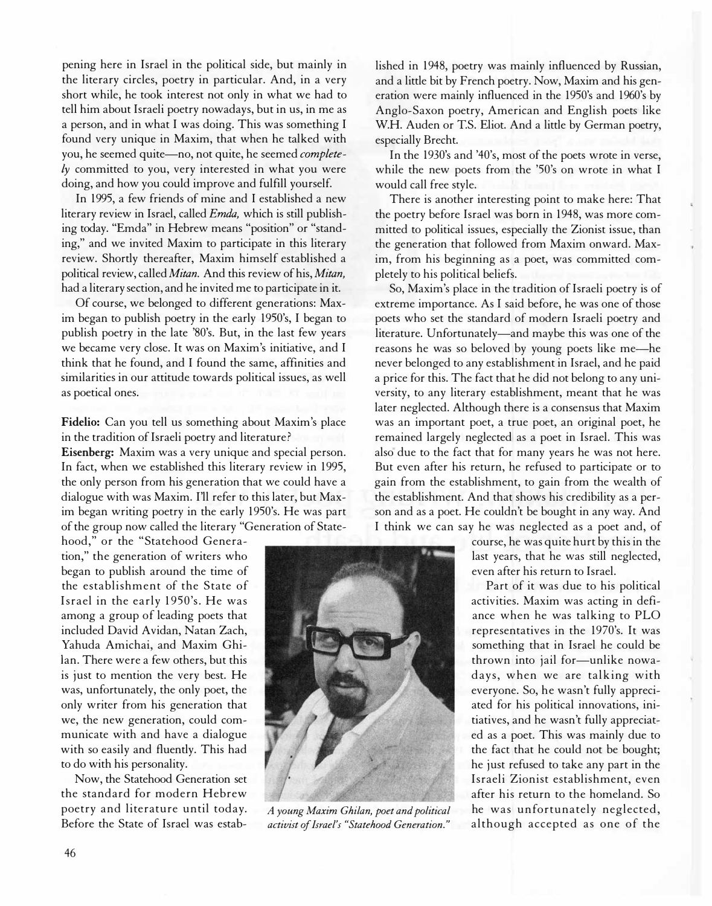pening here in Israel in the political side, but mainly in the literary circles, poetry in particular. And, in a very short while, he took interest not only in what we had to tell him about Israeli poetry nowadays, but in us, in me as a person, and in what I was doing. This was something I found very unique in Maxim, that when he talked with you, he seemed quite-no, not quite, he seemed complete- $$ doing, and how you could improve and fulfill yourself.

In 1995, a few friends of mine and I established a new literary review in Israel, called Emda, which is still publishing today. "Emda" in Hebrew means "position" or "standing," and we invited Maxim to participate in this literary review. Shortly thereafter, Maxim himself established a political review, called Mitan. And this review of his, Mitan, had a literary section, and he invited me to participate in it.

Of course, we belonged to different generations: Maxim began to publish poetry in the early 1950's, I began to publish poetry in the late '80's. But, in the last few years we became very close. It was on Maxim's initiative, and I think that he found, and I found the same, affinities and similarities in our attitude towards political issues, as well as poetical ones.

Fidelio: Can you tell us something about Maxim's place in the tradition of Israeli poetry and literature?

Eisenberg: Maxim was a very unique and special person. In fact, when we established this literary review in 1995, the only person from his generation that we could have a dialogue with was Maxim. I'll refer to this later, but Maxim began writing poetry in the early 1950's. He was part of the group now called the literary "Generation of State-

hood," or the "Statehood Generation," the generation of writers who began to publish around the time of the establishment of the State of Israel in the early 1950's. He was among a group of leading poets that included David Avidan, Natan Zach, Yahuda Amichai, and Maxim Ghi-Ian. There were a few others, but this is just to mention the very best. He was, unfortunately, the only poet, the only writer from his generation that we, the new generation, could communicate with and have a dialogue with so easily and fluently. This had to do with his personality.

Now, the Statehood Generation set the standard for modern Hebrew poetry and literature until today. Before the State of Israel was established in 1948, poetry was mainly influenced by Russian, and a little bit by French poetry. Now, Maxim and his generation were mainly influenced in the 1950's and 1960's by Anglo-Saxon poetry, American and English poets like W.H. Auden or T.S. Eliot. And a little by German poetry, especially Brecht.

In the 1930's and '40's, most of the poets wrote in verse, while the new poets from the '50's on wrote in what I would call free style.

There is another interesting point to make here: That the poetry before Israel was born in 1948, was more committed to political issues, especially the Zionist issue, than the generation that followed from Maxim onward. Maxim, from his beginning as a poet, was committed completely to his political beliefs.

So, Maxim's place in the tradition of Israeli poetry is of extreme importance. As I said before, he was one of those poets who set the standard of modern Israeli poetry and literature. Unfortunately-and maybe this was one of the reasons he was so beloved by young poets like me-he never belonged to any establishment in Israel, and he paid a price for this. The fact that he did not belong to any university, to any literary establishment, meant that he was later neglected. Although there is a consensus that Maxim was an important poet, a true poet, an original poet, he remained largely neglected as a poet in Israel. This was also due to the fact that for many years he was not here. But even after his return, he refused to participate or to gain from the establishment, to gain from the wealth of the establishment. And that shows his credibility as a person and as a poet. He couldn't be bought in any way. And I think we can say he was neglected as a poet and, of

> course, he was quite hurt by this in the last years, that he was still neglected, even after his return to Israel.

> Part of it was due to his political activities. Maxim was acting in defiance when he was talking to PLO representatives in the 1970's. It was something that in Israel he could be thrown into jail for-unlike nowadays, when we are talking with everyone. So, he wasn't fully appreciated for his political innovations, initiatives, and he wasn't fully appreciated as a poet. This was mainly due to the fact that he could not be bought; he just refused to take any part in the Israeli Zionist establishment, even after his return to the homeland. So he was unfortunately neglected, although accepted as one of the



A young Maxim Ghilan, poet and political activist of Israel's "Statehood Generation."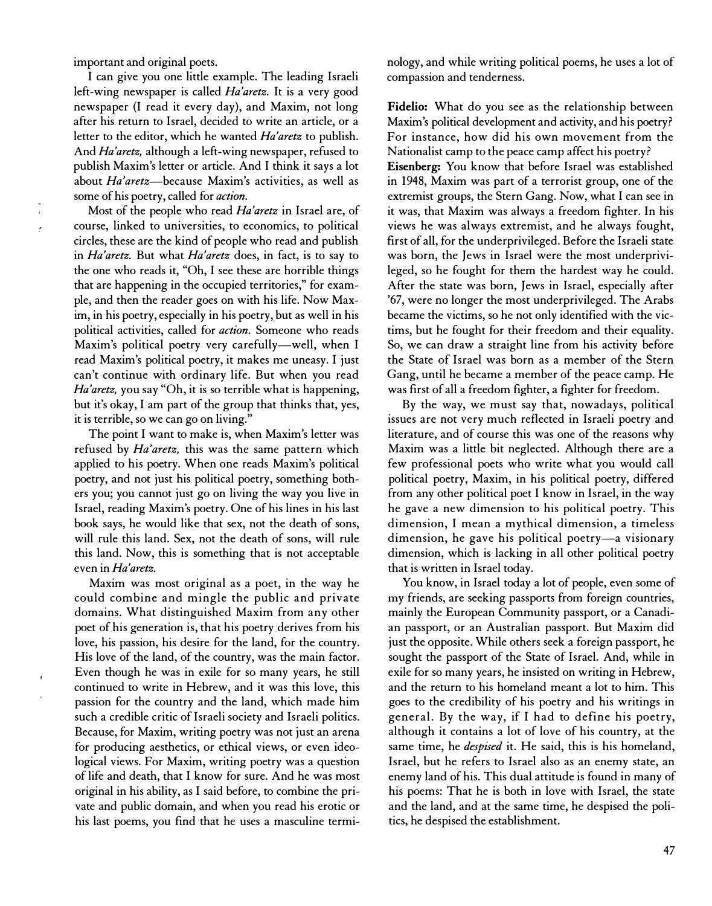important and original poets.

I can give you one little example. The leading Israeli left-wing newspaper is called Ha'aretz. It is a very good newspaper (I read it every day), and Maxim, not long after his return to Israel, decided to write an article, or a letter to the editor, which he wanted Ha'aretz to publish. And Ha'aretz, although a left-wing newspaper, refused to publish Maxim's letter or article. And I think it says a lot about Ha'aretz-because Maxim's activities, as well as some of his poetry, called for *action*.

Most of the people who read Ha'aretz in Israel are, of course, linked to universities, to economics, to political circles, these are the kind of people who read and publish in Ha'aretz. But what Ha'aretz does, in fact, is to say to the one who reads it, "Oh, I see these are horrible things that are happening in the occupied territories," for example, and then the reader goes on with his life. Now Maxim, in his poetry, especially in his poetry, but as well in his political activities, called for action. Someone who reads Maxim's political poetry very carefully-well, when I read Maxim's political poetry, it makes me uneasy. I just can't continue with ordinary life. But when you read Ha'aretz, you say "Oh, it is so terrible what is happening, but it's okay, I am part of the group that thinks that, yes, it is terrible, so we can go on living."

The point I want to make is, when Maxim's letter was refused by Ha'aretz, this was the same pattern which applied to his poetry. When one reads Maxim's political poetry, and not just his political poetry, something bothers you; you cannot just go on living the way you live in Israel, reading Maxim's poetry. One of his lines in his last book says, he would like that sex, not the death of sons, will rule this land. Sex, not the death of sons, will rule this land. Now, this is something that is not acceptable even in Ha'aretz.

Maxim was most original as a poet, in the way he could combine and mingle the public and private domains. What distinguished Maxim from any other poet of his generation is, that his poetry derives from his love, his passion, his desire for the land, for the country. His love of the land, of the country, was the main factor. Even though he was in exile for so many years, he still continued to write in Hebrew, and it was this love, this passion for the country and the land, which made him such a credible critic of Israeli society and Israeli politics. Because, for Maxim, writing poetry was not just an arena for producing aesthetics, or ethical views, or even ideological views. For Maxim, writing poetry was a question of life and death, that I know for sure. And he was most original in his ability, as I said before, to combine the private and public domain, and when you read his erotic or his last poems, you find that he uses a masculine terminology, and while writing political poems, he uses a lot of compassion and tenderness.

Fidelio: What do you see as the relationship between Maxim's political development and activity, and his poetry? For instance, how did his own movement from the Nationalist camp to the peace camp affect his poetry?

Eisenberg: You know that before Israel was established in 1948, Maxim was part of a terrorist group, one of the extremist groups, the Stern Gang. Now, what I can see in it was, that Maxim was always a freedom fighter. In his views he was always extremist, and he always fought, first of all, for the underprivileged. Before the Israeli state was born, the Jews in Israel were the most underprivileged, so he fought for them the hardest way he could. After the state was born, Jews in Israel, especially after '67, were no longer the most underprivileged. The Arabs became the victims, so he not only identified with the victims, but he fought for their freedom and their equality. So, we can draw a straight line from his activity before the State of Israel was born as a member of the Stern Gang, until he became a member of the peace camp. He was first of all a freedom fighter, a fighter for freedom.

By the way, we must say that, nowadays, political issues are not very much reflected in Israeli poetry and literature, and of course this was one of the reasons why Maxim was a little bit neglected. Although there are a few professional poets who write what you would call political poetry, Maxim, in his political poetry, differed from any other political poet I know in Israel, in the way he gave a new dimension to his political poetry. This dimension, I mean a mythical dimension, a timeless dimension, he gave his political poetry-a visionary dimension, which is lacking in all other political poetry that is written in Israel today.

You know, in Israel today a lot of people, even some of my friends, are seeking passports from foreign countries, mainly the European Community passport, or a Canadian passport, or an Australian passport. But Maxim did just the opposite. While others seek a foreign passport, he sought the passport of the State of Israel. And, while in exile for so many years, he insisted on writing in Hebrew, and the return to his homeland meant a lot to him. This goes to the credibility of his poetry and his writings in general. By the way, if I had to define his poetry, although it contains a lot of love of his country, at the same time, he *despised* it. He said, this is his homeland, Israel, but he refers to Israel also as an enemy state, an enemy land of his. This dual attitude is found in many of his poems: That he is both in love with Israel, the state and the land, and at the same time, he despised the politics, he despised the establishment.